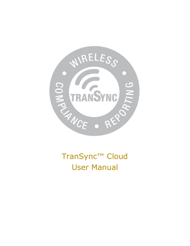

TranSync™ Cloud User Manual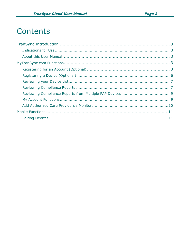# Contents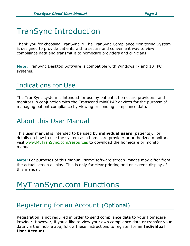# TranSync Introduction

Thank you for choosing TranSync™! The TranSync Compliance Monitoring System is designed to provide patients with a secure and convenient way to view compliance data and transmit it to homecare providers and clinicians.

Note: TranSync Desktop Software is compatible with Windows (7 and 10) PC systems.

### Indications for Use

The TranSync system is intended for use by patients, homecare providers, and monitors in conjunction with the Transcend miniCPAP devices for the purpose of managing patient compliance by viewing or sending compliance data.

### About this User Manual

This user manual is intended to be used by **individual users** (patients). For details on how to use the system as a homecare provider or authorized monitor, visit www.MyTranSync.com/resources to download the homecare or monitor manual.

**Note:** For purposes of this manual, some software screen images may differ from the actual screen display. This is only for clear printing and on-screen display of this manual.

# MyTranSync.com Functions

### Registering for an Account (Optional)

Registration is not required in order to send compliance data to your Homecare Provider. However, if you'd like to view your own compliance data or transfer your data via the mobile app, follow these instructions to register for an **Individual User Account**.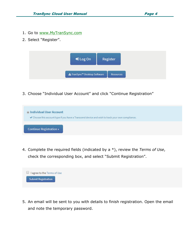- 1. Go to www.MyTranSync.com
- 2. Select "Register".



3. Choose "Individual User Account" and click "Continue Registration"

| la Individual User Account     |                                                                                                  |  |
|--------------------------------|--------------------------------------------------------------------------------------------------|--|
|                                | ◆ Choose this account type if you have a Transcend device and wish to track your own compliance. |  |
|                                |                                                                                                  |  |
| <b>Continue Registration »</b> |                                                                                                  |  |

4. Complete the required fields (indicated by a \*), review the *Terms of Use*, check the corresponding box, and select "Submit Registration".



5. An email will be sent to you with details to finish registration. Open the email and note the temporary password.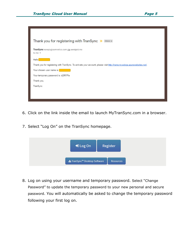| Thank you for registering with TranSync<br>$Inbox \times$                                                                |
|--------------------------------------------------------------------------------------------------------------------------|
| TranSync noreply@somnetics.com via sendgrid.me<br>to me $\sim$                                                           |
| Hello                                                                                                                    |
| Thank you for registering with TranSync. To activate your account, please visit http://transyncwebga.azurewebsites.net/. |
| Your chosen user name is:                                                                                                |
| Your temporary password is: d{8R?Pa                                                                                      |
| Thank you,                                                                                                               |
| TranSync                                                                                                                 |
|                                                                                                                          |
|                                                                                                                          |

- 6. Click on the link inside the email to launch MyTranSync.com in a browser.
- 7. Select "Log On" on the TranSync homepage.



8. Log on using your username and temporary password. Select "Change Password" to update the temporary password to your new personal and secure password. You will automatically be asked to change the temporary password following your first log on.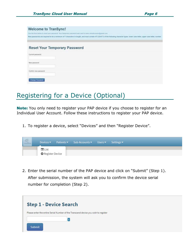| <b>Welcome to TranSync!</b>          | Use the form below to reset your password. Your temporary password was sent to news omneticsuser@gmail.com.<br>New passwords are required to be a minimum of 7 characters in length, and must contain AT LEAST 2 of the following character types: lower case letter, upper case letter, number. |
|--------------------------------------|--------------------------------------------------------------------------------------------------------------------------------------------------------------------------------------------------------------------------------------------------------------------------------------------------|
| <b>Reset Your Temporary Password</b> |                                                                                                                                                                                                                                                                                                  |
| Current password                     |                                                                                                                                                                                                                                                                                                  |
| New password                         |                                                                                                                                                                                                                                                                                                  |
| Confirm new password.                |                                                                                                                                                                                                                                                                                                  |
| Change Password                      |                                                                                                                                                                                                                                                                                                  |

## Registering for a Device (Optional)

Note: You only need to register your PAP device if you choose to register for an Individual User Account. Follow these instructions to register your PAP device.

1. To register a device, select "Devices" and then "Register Device".

| $\sqrt{C}$ | Devices $\blacktriangleright$      | Patients ▼ Sub-Accounts ▼ | Users • | Settings $\blacktriangledown$ |
|------------|------------------------------------|---------------------------|---------|-------------------------------|
|            | ■ List<br><b>O</b> Register Device |                           |         |                               |

2. Enter the serial number of the PAP device and click on "Submit" (Step 1). After submission, the system will ask you to confirm the device serial number for completion (Step 2).

|               | <b>Step 1 - Device Search</b>                                                      |  |  |
|---------------|------------------------------------------------------------------------------------|--|--|
|               | Please enter the entire Serial Number of the Transcend device you wish to register |  |  |
|               |                                                                                    |  |  |
|               |                                                                                    |  |  |
| <b>Submit</b> |                                                                                    |  |  |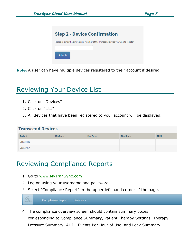

Note: A user can have multiple devices registered to their account if desired.

## Reviewing Your Device List

- 1. Click on "Devices"
- 2. Click on "List"
- 3. All devices that have been registered to your account will be displayed.

#### **Transcend Devices**

| Serial #  | Min Pres. | Max Pres. | <b>Start Pres.</b> | <b>EZEX</b> |
|-----------|-----------|-----------|--------------------|-------------|
| B10A00001 |           |           |                    |             |
| B13A10257 |           |           |                    |             |

# Reviewing Compliance Reports

- 1. Go to www.MyTranSync.com
- 2. Log on using your username and password.
- 3. Select "Compliance Report" in the upper left-hand corner of the page.



4. The compliance overview screen should contain summary boxes corresponding to Compliance Summary, Patient Therapy Settings, Therapy Pressure Summary, AHI – Events Per Hour of Use, and Leak Summary.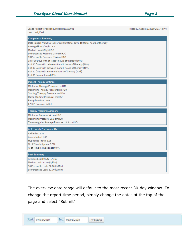

| Usage Report for serial number: B10A00001<br>User: Last, First                                                                                                                                                                                                                                                                                                                                                                                                                                                   | Tuesday, August 6, 2019 2:31:43 PM |
|------------------------------------------------------------------------------------------------------------------------------------------------------------------------------------------------------------------------------------------------------------------------------------------------------------------------------------------------------------------------------------------------------------------------------------------------------------------------------------------------------------------|------------------------------------|
| <b>Compliance Summary</b><br>Date Range: 7/3/2019 to 8/1/2019 (30 total days, 160 total hours of therapy)<br>Average Hours/Night: 5.3<br>Median Hours/Night: 5.3<br>90 Percentile Pressure: 18.0 cmH2O<br>95 Percentile Pressure: 19.4 cmH2O<br>18 of 30 Days with at least 4 hours of therapy (60%)<br>6 of 30 Days with between 4 and 6 hours of therapy (20%)<br>3 of 30 Days with between 6 and 8 hours of therapy (10%)<br>9 of 30 Days with 8 or more hours of therapy (30%)<br>0 of 30 Days not used (0%) |                                    |
| <b>Patient Therapy Settings</b><br>Minimum Therapy Pressure: cmH20<br>Maximum Therapy Pressure: cmH20<br>Starting Therapy Pressure: cmH20<br>Ramp Starting Pressure: cmH2O<br>Ramp Duration: min<br>EZEX™ Pressure Relief:                                                                                                                                                                                                                                                                                       |                                    |
| <b>Therapy Pressure Summary</b><br>Minimum Pressure: 4.1 cmH2O<br>Maximum Pressure: 20.0 cmH2O<br>Time-weighted Average Pressure: 11.2 cmH2O                                                                                                                                                                                                                                                                                                                                                                     |                                    |
| AHI - Events Per Hour of Use<br>AHI Index: 2.31<br>Apnea Index: 1.06<br>Hypopnea Index: 1.25<br>% of Time in Apnea: 0.5%<br>% of Time in Hypopnea: 0.6%                                                                                                                                                                                                                                                                                                                                                          |                                    |
| <b>Leak Summary</b><br>Average Leak: 22.42 (L/Min)<br>Median Leak: 17.00 (L/Min)<br>90 Percentile Leak: 52.00 (L/Min)<br>95 Percentile Leak: 62.00 (L/Min)                                                                                                                                                                                                                                                                                                                                                       |                                    |

5. The overview date range will default to the most recent 30-day window. To change the report time period, simply change the dates at the top of the page and select "Submit".

| Start: | 07/02/2019 | End: | 08/01/2019 | ubmit |
|--------|------------|------|------------|-------|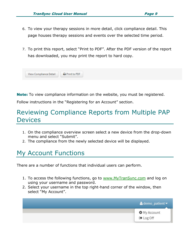- 6. To view your therapy sessions in more detail, click compliance detail. This page houses therapy sessions and events over the selected time period.
- 7. To print this report, select "Print to PDF". After the PDF version of the report has downloaded, you may print the report to hard copy.



**Note:** To view compliance information on the website, you must be registered.

Follow instructions in the "Registering for an Account" section.

## Reviewing Compliance Reports from Multiple PAP Devices

- 1. On the compliance overview screen select a new device from the drop-down menu and select "Submit".
- 2. The compliance from the newly selected device will be displayed.

# My Account Functions

There are a number of functions that individual users can perform.

- 1. To access the following functions, go to www.MyTranSync.com and log on using your username and password.
- 2. Select your username in the top right-hand corner of the window, then select "My Account".

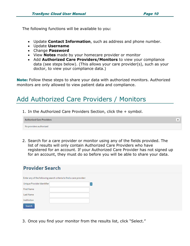÷

The following functions will be available to you:

- Update **Contact Information**, such as address and phone number.
- Update **Username**
- Change **Password**
- View **Notes** made by your homecare provider or monitor
- Add **Authorized Care Providers/Monitors** to view your compliance data (see steps below). (This allows your care provider(s), such as your doctor, to view your compliance data.)

Note: Follow these steps to share your data with authorized monitors. Authorized monitors are only allowed to view patient data and compliance.

# Add Authorized Care Providers / Monitors

1. In the Authorized Care Providers Section, click the + symbol.

**Authorized Care Providers** No providers authorized

2. Search for a care provider or monitor using any of the fields provided. The list of results will only contain Authorized Care Providers who have registered for an account. If your Authorized Care Provider has not signed up for an account, they must do so before you will be able to share your data.

| <b>Provider Search</b>                                              |
|---------------------------------------------------------------------|
| Enter any of the following search criteria to find a care provider: |

| Unique Provider Identifier | $\overline{\mathbf{r}}$ |
|----------------------------|-------------------------|
| <b>First Name</b>          |                         |
| Last Name                  |                         |
| Institution                |                         |
| Search                     |                         |

3. Once you find your monitor from the results list, click "Select."